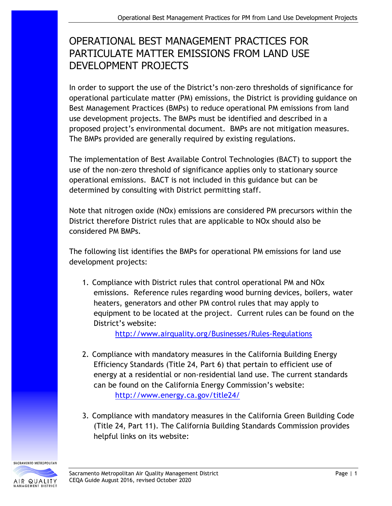## OPERATIONAL BEST MANAGEMENT PRACTICES FOR PARTICULATE MATTER EMISSIONS FROM LAND USE DEVELOPMENT PROJECTS

In order to support the use of the District's non-zero thresholds of significance for operational particulate matter (PM) emissions, the District is providing guidance on Best Management Practices (BMPs) to reduce operational PM emissions from land use development projects. The BMPs must be identified and described in a proposed project's environmental document. BMPs are not mitigation measures. The BMPs provided are generally required by existing regulations.

The implementation of Best Available Control Technologies (BACT) to support the use of the non-zero threshold of significance applies only to stationary source operational emissions. BACT is not included in this guidance but can be determined by consulting with District permitting staff.

Note that nitrogen oxide (NOx) emissions are considered PM precursors within the District therefore District rules that are applicable to NOx should also be considered PM BMPs.

The following list identifies the BMPs for operational PM emissions for land use development projects:

1. Compliance with District rules that control operational PM and NOx emissions. Reference rules regarding wood burning devices, boilers, water heaters, generators and other PM control rules that may apply to equipment to be located at the project. Current rules can be found on the District's website:

<http://www.airquality.org/Businesses/Rules-Regulations>

- 2. Compliance with mandatory measures in the California Building Energy Efficiency Standards (Title 24, Part 6) that pertain to efficient use of energy at a residential or non-residential land use. The current standards can be found on the California Energy Commission's website: <http://www.energy.ca.gov/title24/>
- 3. Compliance with mandatory measures in the California Green Building Code (Title 24, Part 11). The California Building Standards Commission provides helpful links on its website:

SACRAMENTO METROPOLITAN AIR QUALITY NAGEMENT DISTRICT